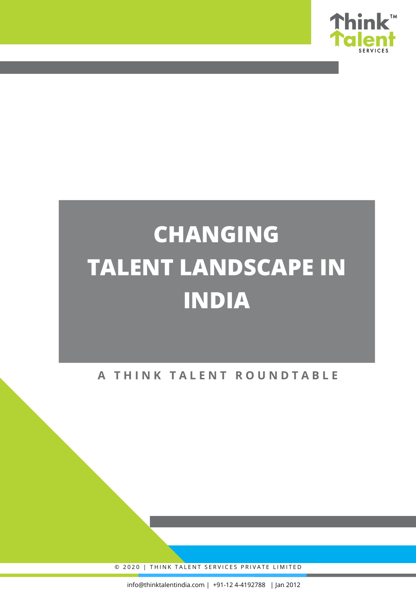

# **CHANGING TALENT LANDSCAPE IN INDIA**

### **A T H I N K T A L E N T R O U N D T A B L E**

© 2020 | THINK TALENT SERVICES PRIVATE LIMITED

info@thinktalentindia.com | +91-12 4-4192788 | Jan 2012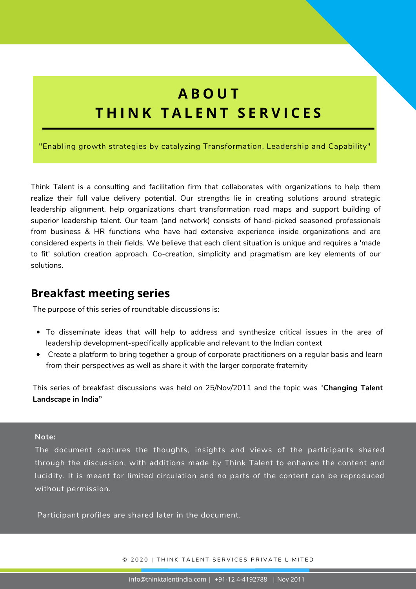# **A B O U T T H I N K T A L E N T S E R V I C E S**

"Enabling growth strategies by catalyzing Transformation, Leadership and Capability"

Think Talent is a consulting and facilitation firm that collaborates with organizations to help them realize their full value delivery potential. Our strengths lie in creating solutions around strategic leadership alignment, help organizations chart transformation road maps and support building of superior leadership talent. Our team (and network) consists of hand-picked seasoned professionals from business & HR functions who have had extensive experience inside organizations and are considered experts in their fields. We believe that each client situation is unique and requires a 'made to fit' solution creation approach. Co-creation, simplicity and pragmatism are key elements of our solutions.

### **Breakfast meeting series**

The purpose of this series of roundtable discussions is:

- To disseminate ideas that will help to address and synthesize critical issues in the area of leadership development-specifically applicable and relevant to the Indian context
- Create a platform to bring together a group of corporate practitioners on a regular basis and learn from their perspectives as well as share it with the larger corporate fraternity

This series of breakfast discussions was held on 25/Nov/2011 and the topic was "**Changing Talent Landscape in India"**

#### **Note:**

The document captures the thoughts, insights and views of the participants shared through the discussion, with additions made by Think Talent to enhance the content and lucidity. It is meant for limited circulation and no parts of the content can be reproduced without permission.

Participant profiles are shared later in the document.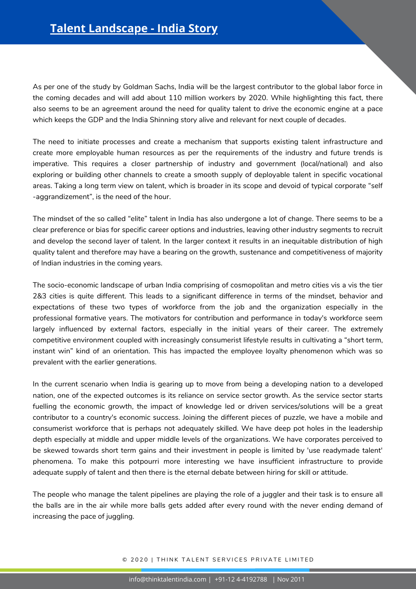As per one of the study by Goldman Sachs, India will be the largest contributor to the global labor force in the coming decades and will add about 110 million workers by 2020. While highlighting this fact, there also seems to be an agreement around the need for quality talent to drive the economic engine at a pace which keeps the GDP and the India Shinning story alive and relevant for next couple of decades.

The need to initiate processes and create a mechanism that supports existing talent infrastructure and create more employable human resources as per the requirements of the industry and future trends is imperative. This requires a closer partnership of industry and government (local/national) and also exploring or building other channels to create a smooth supply of deployable talent in specific vocational areas. Taking a long term view on talent, which is broader in its scope and devoid of typical corporate "self -aggrandizement", is the need of the hour.

The mindset of the so called "elite" talent in India has also undergone a lot of change. There seems to be a clear preference or bias for specific career options and industries, leaving other industry segments to recruit and develop the second layer of talent. In the larger context it results in an inequitable distribution of high quality talent and therefore may have a bearing on the growth, sustenance and competitiveness of majority of Indian industries in the coming years.

The socio-economic landscape of urban India comprising of cosmopolitan and metro cities vis a vis the tier 2&3 cities is quite different. This leads to a significant difference in terms of the mindset, behavior and expectations of these two types of workforce from the job and the organization especially in the professional formative years. The motivators for contribution and performance in today's workforce seem largely influenced by external factors, especially in the initial years of their career. The extremely competitive environment coupled with increasingly consumerist lifestyle results in cultivating a "short term, instant win" kind of an orientation. This has impacted the employee loyalty phenomenon which was so prevalent with the earlier generations.

**Note:** depth especially at middle and upper middle levels of the organizations. We have corporates perceived to be skewed towards short term gains and their investment in people is limited by 'use readymade talent' phenomena. To make this potpourri more interesting we have insufficient infrastructure to provide adequate supply of talent and then there is the eternal debate between hiring for skill or attitude. In the current scenario when India is gearing up to move from being a developing nation to a developed nation, one of the expected outcomes is its reliance on service sector growth. As the service sector starts fuelling the economic growth, the impact of knowledge led or driven services/solutions will be a great contributor to a country's economic success. Joining the different pieces of puzzle, we have a mobile and consumerist workforce that is perhaps not adequately skilled. We have deep pot holes in the leadership

The people who manage the talent pipelines are playing the role of a juggler and their task is to ensure all increasing the pace of juggling. the balls are in the air while more balls gets added after every round with the never ending demand of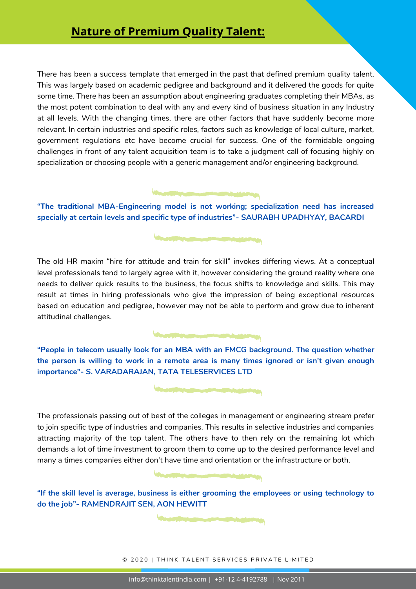### **Nature of Premium Quality Talent:**

There has been a success template that emerged in the past that defined premium quality talent. This was largely based on academic pedigree and background and it delivered the goods for quite some time. There has been an assumption about engineering graduates completing their MBAs, as the most potent combination to deal with any and every kind of business situation in any Industry at all levels. With the changing times, there are other factors that have suddenly become more relevant. In certain industries and specific roles, factors such as knowledge of local culture, market, government regulations etc have become crucial for success. One of the formidable ongoing challenges in front of any talent acquisition team is to take a judgment call of focusing highly on specialization or choosing people with a generic management and/or engineering background.

**"The traditional MBA-Engineering model is not working; specialization need has increased specially at certain levels and specific type of industries"- SAURABH UPADHYAY, BACARDI**

The comment of the state of the

The old HR maxim "hire for attitude and train for skill" invokes differing views. At a conceptual level professionals tend to largely agree with it, however considering the ground reality where one needs to deliver quick results to the business, the focus shifts to knowledge and skills. This may result at times in hiring professionals who give the impression of being exceptional resources based on education and pedigree, however may not be able to perform and grow due to inherent attitudinal challenges.

**"People in telecom usually look for an MBA with an FMCG background. The question whether the person is willing to work in a remote area is many times ignored or isn't given enough importance"- S. VARADARAJAN, TATA TELESERVICES LTD**

**In the Communication of the Communication** 

attracting majority of the top talent. The others have to then rely on the remaining lot which demands a lot of time investment to groom them to come up to the desired performance level and many a times companies either don't have time and orientation or the infrastructure or both. The professionals passing out of best of the colleges in management or engineering stream prefer to join specific type of industries and companies. This results in selective industries and companies

"If the skill level is average, business is either grooming the employees or using technology to **do the job"- RAMENDRAJIT SEN, AON HEWITT**

lucidity. It is meant for limited circulation and no parts of the content can be reproduced

© 2020 | THINK TALENT SERVICES PRIVATE LIMITED

Participant profiles are shared later in the document.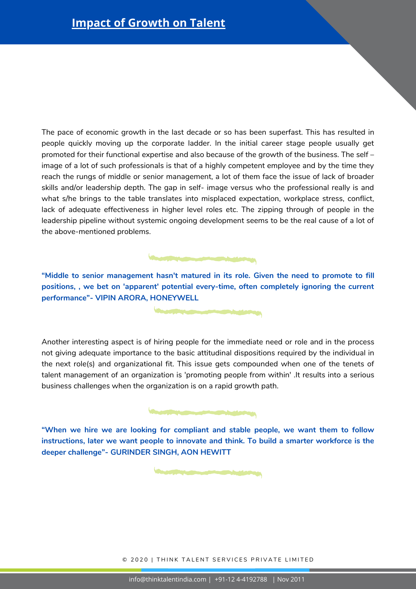The pace of economic growth in the last decade or so has been superfast. This has resulted in people quickly moving up the corporate ladder. In the initial career stage people usually get promoted for their functional expertise and also because of the growth of the business. The self – image of a lot of such professionals is that of a highly competent employee and by the time they reach the rungs of middle or senior management, a lot of them face the issue of lack of broader skills and/or leadership depth. The gap in self- image versus who the professional really is and what s/he brings to the table translates into misplaced expectation, workplace stress, conflict, lack of adequate effectiveness in higher level roles etc. The zipping through of people in the leadership pipeline without systemic ongoing development seems to be the real cause of a lot of the above-mentioned problems.

**"Middle to senior management hasn't matured in its role. Given the need to promote to fill positions, , we bet on 'apparent' potential every-time, often completely ignoring the current performance"- VIPIN ARORA, HONEYWELL**

Another interesting aspect is of hiring people for the immediate need or role and in the process not giving adequate importance to the basic attitudinal dispositions required by the individual in the next role(s) and organizational fit. This issue gets compounded when one of the tenets of talent management of an organization is 'promoting people from within' .It results into a serious business challenges when the organization is on a rapid growth path.

**"When we hire we are looking for compliant and stable people, we want them to follow instructions, later we want people to innovate and think. To build a smarter workforce is the deeper challenge"- GURINDER SINGH, AON HEWITT**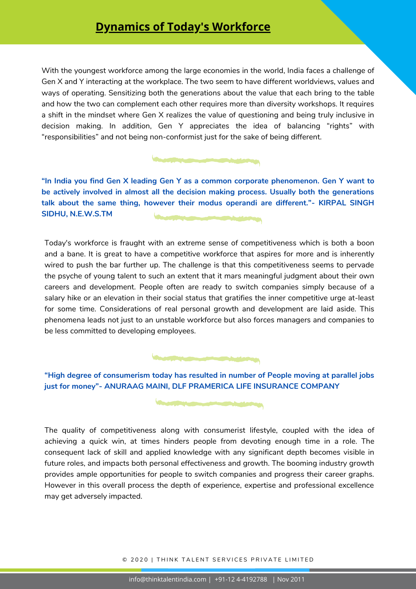### **Dynamics of Today's Workforce**

With the youngest workforce among the large economies in the world, India faces a challenge of Gen X and Y interacting at the workplace. The two seem to have different worldviews, values and ways of operating. Sensitizing both the generations about the value that each bring to the table and how the two can complement each other requires more than diversity workshops. It requires a shift in the mindset where Gen X realizes the value of questioning and being truly inclusive in decision making. In addition, Gen Y appreciates the idea of balancing "rights" with "responsibilities" and not being non-conformist just for the sake of being different.

**"In India you find Gen X leading Gen Y as a common corporate phenomenon. Gen Y want to be actively involved in almost all the decision making process. Usually both the generations talk about the same thing, however their modus operandi are different."- KIRPAL SINGH SIDHU, N.E.W.S.TM**

Today's workforce is fraught with an extreme sense of competitiveness which is both a boon and a bane. It is great to have a competitive workforce that aspires for more and is inherently wired to push the bar further up. The challenge is that this competitiveness seems to pervade the psyche of young talent to such an extent that it mars meaningful judgment about their own careers and development. People often are ready to switch companies simply because of a salary hike or an elevation in their social status that gratifies the inner competitive urge at-least for some time. Considerations of real personal growth and development are laid aside. This phenomena leads not just to an unstable workforce but also forces managers and companies to be less committed to developing employees.

**"High degree of consumerism today has resulted in number of People moving at parallel jobs just for money"- ANURAAG MAINI, DLF PRAMERICA LIFE INSURANCE COMPANY**

The quality of competitiveness along with consumerist lifestyle, coupled with the idea of achieving a quick win, at times hinders people from devoting enough time in a role. The consequent lack of skill and applied knowledge with any significant depth becomes visible in future roles, and impacts both personal effectiveness and growth. The booming industry growth provides ample opportunities for people to switch companies and progress their career graphs. However in this overall process the depth of experience, expertise and professional excellence may get adversely impacted.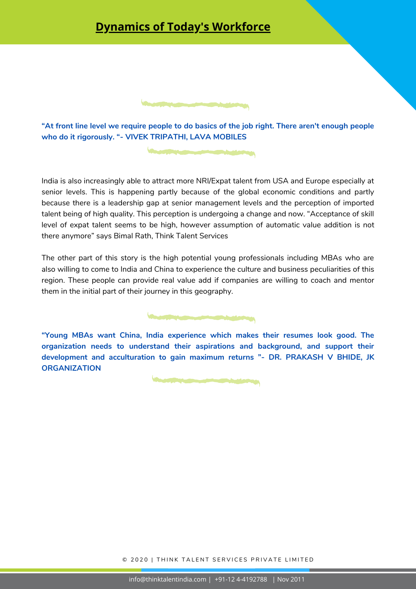### **Dynamics of Today's Workforce**

**"At front line level we require people to do basics of the job right. There aren't enough people who do it rigorously. "- VIVEK TRIPATHI, LAVA MOBILES**

India is also increasingly able to attract more NRI/Expat talent from USA and Europe especially at senior levels. This is happening partly because of the global economic conditions and partly because there is a leadership gap at senior management levels and the perception of imported talent being of high quality. This perception is undergoing a change and now. "Acceptance of skill level of expat talent seems to be high, however assumption of automatic value addition is not there anymore" says Bimal Rath, Think Talent Services

The other part of this story is the high potential young professionals including MBAs who are also willing to come to India and China to experience the culture and business peculiarities of this region. These people can provide real value add if companies are willing to coach and mentor them in the initial part of their journey in this geography.

**"Young MBAs want China, India experience which makes their resumes look good. The organization needs to understand their aspirations and background, and support their development and acculturation to gain maximum returns "- DR. PRAKASH V BHIDE, JK ORGANIZATION**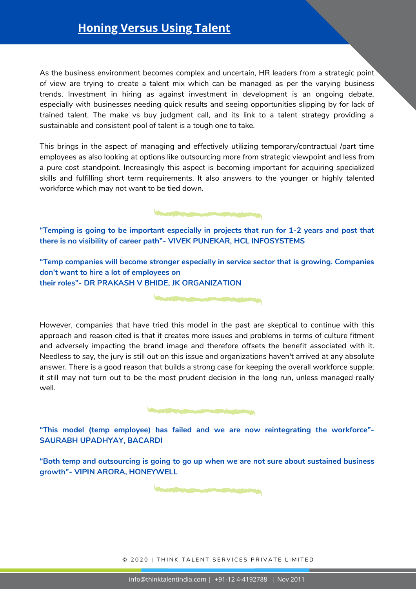## **Honing Versus Using Talent**

As the business environment becomes complex and uncertain, HR leaders from a strategic point of view are trying to create a talent mix which can be managed as per the varying business trends. Investment in hiring as against investment in development is an ongoing debate, especially with businesses needing quick results and seeing opportunities slipping by for lack of trained talent. The make vs buy judgment call, and its link to a talent strategy providing a sustainable and consistent pool of talent is a tough one to take.

This brings in the aspect of managing and effectively utilizing temporary/contractual /part time employees as also looking at options like outsourcing more from strategic viewpoint and less from a pure cost standpoint. Increasingly this aspect is becoming important for acquiring specialized skills and fulfilling short term requirements. It also answers to the younger or highly talented workforce which may not want to be tied down.

**"Temping is going to be important especially in projects that run for 1-2 years and post that there is no visibility of career path"- VIVEK PUNEKAR, HCL INFOSYSTEMS**

**The Community of American** 

**"Temp companies will become stronger especially in service sector that is growing. Companies don't want to hire a lot of employees on their roles"- DR PRAKASH V BHIDE, JK ORGANIZATION**

However, companies that have tried this model in the past are skeptical to continue with this approach and reason cited is that it creates more issues and problems in terms of culture fitment and adversely impacting the brand image and therefore offsets the benefit associated with it. Needless to say, the jury is still out on this issue and organizations haven't arrived at any absolute answer. There is a good reason that builds a strong case for keeping the overall workforce supple; it still may not turn out to be the most prudent decision in the long run, unless managed really well.

**The Committee of the Committee of the Committee of the Committee of the Committee of the Committee of the Committee of the Committee of the Committee of the Committee of the Committee of the Committee of the Committee of** 

**"This model (temp employee) has failed and we are now reintegrating the workforce"- SAURABH UPADHYAY, BACARDI**

**"Both temp and outsourcing is going to go up when we are not sure about sustained business growth"- VIPIN ARORA, HONEYWELL**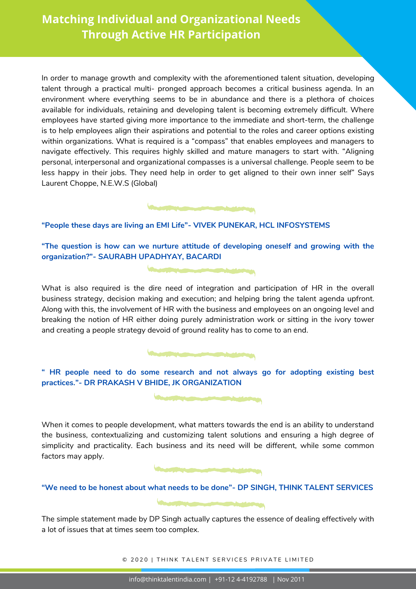In order to manage growth and complexity with the aforementioned talent situation, developing talent through a practical multi- pronged approach becomes a critical business agenda. In an environment where everything seems to be in abundance and there is a plethora of choices available for individuals, retaining and developing talent is becoming extremely difficult. Where employees have started giving more importance to the immediate and short-term, the challenge is to help employees align their aspirations and potential to the roles and career options existing within organizations. What is required is a "compass" that enables employees and managers to navigate effectively. This requires highly skilled and mature managers to start with. "Aligning personal, interpersonal and organizational compasses is a universal challenge. People seem to be less happy in their jobs. They need help in order to get aligned to their own inner self" Says Laurent Choppe, N.E.W.S (Global)

### **"People these days are living an EMI Life"- VIVEK PUNEKAR, HCL INFOSYSTEMS**

**"The question is how can we nurture attitude of developing oneself and growing with the organization?"- SAURABH UPADHYAY, BACARDI**

What is also required is the dire need of integration and participation of HR in the overall business strategy, decision making and execution; and helping bring the talent agenda upfront. Along with this, the involvement of HR with the business and employees on an ongoing level and breaking the notion of HR either doing purely administration work or sitting in the ivory tower and creating a people strategy devoid of ground reality has to come to an end.

**" HR people need to do some research and not always go for adopting existing best practices."- DR PRAKASH V BHIDE, JK ORGANIZATION**

When it comes to people development, what matters towards the end is an ability to understand the business, contextualizing and customizing talent solutions and ensuring a high degree of simplicity and practicality. Each business and its need will be different, while some common factors may apply.



**"We need to be honest about what needs to be done"- DP SINGH, THINK TALENT SERVICES**

The simple statement made by DP Singh actually captures the essence of dealing effectively with a lot of issues that at times seem too complex.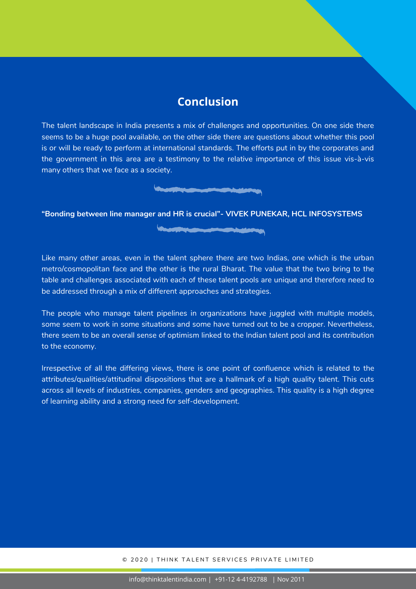### **Conclusion**

The talent landscape in India presents a mix of challenges and opportunities. On one side there seems to be a huge pool available, on the other side there are questions about whether this pool is or will be ready to perform at international standards. The efforts put in by the corporates and the government in this area are a testimony to the relative importance of this issue vis-à-vis many others that we face as a society.

**Andrew Communication of the Communication** 

**The south of the company of the company of the company of the company of the company of the company of the company of the company of the company of the company of the company of the company of the company of the company o** 

**"Bonding between line manager and HR is crucial"- VIVEK PUNEKAR, HCL INFOSYSTEMS**

Like many other areas, even in the talent sphere there are two Indias, one which is the urban metro/cosmopolitan face and the other is the rural Bharat. The value that the two bring to the table and challenges associated with each of these talent pools are unique and therefore need to be addressed through a mix of different approaches and strategies.

The people who manage talent pipelines in organizations have juggled with multiple models, some seem to work in some situations and some have turned out to be a cropper. Nevertheless, there seem to be an overall sense of optimism linked to the Indian talent pool and its contribution to the economy.

Irrespective of all the differing views, there is one point of confluence which is related to the attributes/qualities/attitudinal dispositions that are a hallmark of a high quality talent. This cuts across all levels of industries, companies, genders and geographies. This quality is a high degree of learning ability and a strong need for self-development.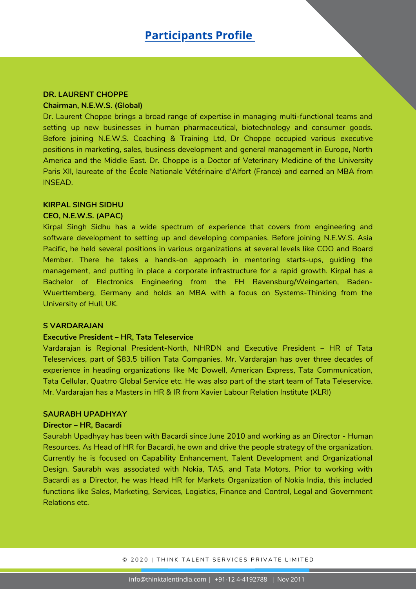#### **DR. LAURENT CHOPPE**

#### **Chairman, N.E.W.S. (Global)**

Dr. Laurent Choppe brings a broad range of expertise in managing multi-functional teams and setting up new businesses in human pharmaceutical, biotechnology and consumer goods. Before joining N.E.W.S. Coaching & Training Ltd, Dr Choppe occupied various executive positions in marketing, sales, business development and general management in Europe, North America and the Middle East. Dr. Choppe is a Doctor of Veterinary Medicine of the University Paris XII, laureate of the École Nationale Vétérinaire d'Alfort (France) and earned an MBA from INSEAD.

#### **KIRPAL SINGH SIDHU**

#### **CEO, N.E.W.S. (APAC)**

Kirpal Singh Sidhu has a wide spectrum of experience that covers from engineering and software development to setting up and developing companies. Before joining N.E.W.S. Asia Pacific, he held several positions in various organizations at several levels like COO and Board Member. There he takes a hands-on approach in mentoring starts-ups, guiding the management, and putting in place a corporate infrastructure for a rapid growth. Kirpal has a Bachelor of Electronics Engineering from the FH Ravensburg/Weingarten, Baden-Wuerttemberg, Germany and holds an MBA with a focus on Systems-Thinking from the University of Hull, UK.

#### **S VARDARAJAN**

#### **Executive President – HR, Tata Teleservice**

Vardarajan is Regional President-North, NHRDN and Executive President – HR of Tata Teleservices, part of \$83.5 billion Tata Companies. Mr. Vardarajan has over three decades of experience in heading organizations like Mc Dowell, American Express, Tata Communication, Tata Cellular, Quatrro Global Service etc. He was also part of the start team of Tata Teleservice. Mr. Vardarajan has a Masters in HR & IR from Xavier Labour Relation Institute (XLRI)

#### **SAURABH UPADHYAY**

#### **Director – HR, Bacardi**

Saurabh Upadhyay has been with Bacardi since June 2010 and working as an Director - Human Resources. As Head of HR for Bacardi, he own and drive the people strategy of the organization. Currently he is focused on Capability Enhancement, Talent Development and Organizational Design. Saurabh was associated with Nokia, TAS, and Tata Motors. Prior to working with Bacardi as a Director, he was Head HR for Markets Organization of Nokia India, this included functions like Sales, Marketing, Services, Logistics, Finance and Control, Legal and Government Relations etc.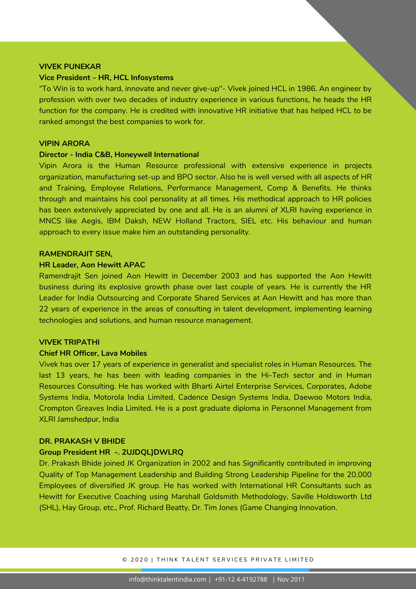#### **VIVEK PUNEKAR**

#### **Vice President – HR, HCL Infosystems**

"To Win is to work hard, innovate and never give-up"- Vivek joined HCL in 1986. An engineer by profession with over two decades of industry experience in various functions, he heads the HR function for the company. He is credited with innovative HR initiative that has helped HCL to be ranked amongst the best companies to work for.

#### **VIPIN ARORA**

#### **Director - India C&B, Honeywell International**

Vipin Arora is the Human Resource professional with extensive experience in projects organization, manufacturing set-up and BPO sector. Also he is well versed with all aspects of HR and Training, Employee Relations, Performance Management, Comp & Benefits. He thinks through and maintains his cool personality at all times. His methodical approach to HR policies has been extensively appreciated by one and all. He is an alumni of XLRI having experience in MNCS like Aegis, IBM Daksh, NEW Holland Tractors, SIEL etc. His behaviour and human approach to every issue make him an outstanding personality.

#### **RAMENDRAJIT SEN,**

#### **HR Leader, Aon Hewitt APAC**

Ramendrajit Sen joined Aon Hewitt in December 2003 and has supported the Aon Hewitt business during its explosive growth phase over last couple of years. He is currently the HR Leader for India Outsourcing and Corporate Shared Services at Aon Hewitt and has more than 22 years of experience in the areas of consulting in talent development, implementing learning technologies and solutions, and human resource management.

#### **VIVEK TRIPATHI**

#### **Chief HR Officer, Lava Mobiles**

Vivek has over 17 years of experience in generalist and specialist roles in Human Resources. The last 13 years, he has been with leading companies in the Hi-Tech sector and in Human Resources Consulting. He has worked with Bharti Airtel Enterprise Services, Corporates, Adobe Systems India, Motorola India Limited, Cadence Design Systems India, Daewoo Motors India, Crompton Greaves India Limited. He is a post graduate diploma in Personnel Management from XLRI Jamshedpur, India

#### **DR. PRAKASH V BHIDE**

#### **Group President HR -. 2UJDQL]DWLRQ**

Dr. Prakash Bhide joined JK Organization in 2002 and has Significantly contributed in improving Quality of Top Management Leadership and Building Strong Leadership Pipeline for the 20,000 Employees of diversified JK group. He has worked with International HR Consultants such as Hewitt for Executive Coaching using Marshall Goldsmith Methodology, Saville Holdsworth Ltd (SHL), Hay Group, etc., Prof. Richard Beatty, Dr. Tim Jones (Game Changing Innovation.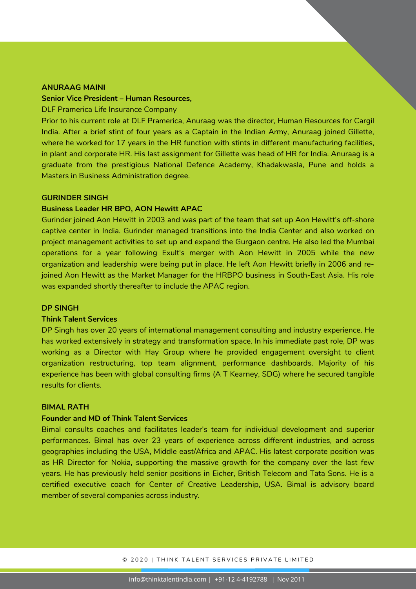#### **ANURAAG MAINI**

### **Senior Vice President – Human Resources,**

#### DLF Pramerica Life Insurance Company

Prior to his current role at DLF Pramerica, Anuraag was the director, Human Resources for Cargil India. After a brief stint of four years as a Captain in the Indian Army, Anuraag joined Gillette, where he worked for 17 years in the HR function with stints in different manufacturing facilities, in plant and corporate HR. His last assignment for Gillette was head of HR for India. Anuraag is a graduate from the prestigious National Defence Academy, Khadakwasla, Pune and holds a Masters in Business Administration degree.

#### **GURINDER SINGH**

#### **Business Leader HR BPO, AON Hewitt APAC**

Gurinder joined Aon Hewitt in 2003 and was part of the team that set up Aon Hewitt's off-shore captive center in India. Gurinder managed transitions into the India Center and also worked on project management activities to set up and expand the Gurgaon centre. He also led the Mumbai operations for a year following Exult's merger with Aon Hewitt in 2005 while the new organization and leadership were being put in place. He left Aon Hewitt briefly in 2006 and rejoined Aon Hewitt as the Market Manager for the HRBPO business in South-East Asia. His role was expanded shortly thereafter to include the APAC region.

#### **DP SINGH**

#### **Think Talent Services**

DP Singh has over 20 years of international management consulting and industry experience. He has worked extensively in strategy and transformation space. In his immediate past role, DP was working as a Director with Hay Group where he provided engagement oversight to client organization restructuring, top team alignment, performance dashboards. Majority of his experience has been with global consulting firms (A T Kearney, SDG) where he secured tangible results for clients.

#### **BIMAL RATH**

### **Founder and MD of Think Talent Services**

Bimal consults coaches and facilitates leader's team for individual development and superior performances. Bimal has over 23 years of experience across different industries, and across geographies including the USA, Middle east/Africa and APAC. His latest corporate position was as HR Director for Nokia, supporting the massive growth for the company over the last few years. He has previously held senior positions in Eicher, British Telecom and Tata Sons. He is a certified executive coach for Center of Creative Leadership, USA. Bimal is advisory board member of several companies across industry.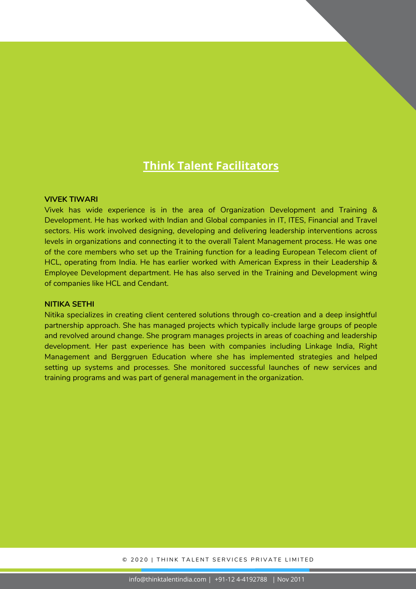### **Think Talent Facilitators**

#### **VIVEK TIWARI**

Vivek has wide experience is in the area of Organization Development and Training & Development. He has worked with Indian and Global companies in IT, ITES, Financial and Travel sectors. His work involved designing, developing and delivering leadership interventions across levels in organizations and connecting it to the overall Talent Management process. He was one of the core members who set up the Training function for a leading European Telecom client of HCL, operating from India. He has earlier worked with American Express in their Leadership & Employee Development department. He has also served in the Training and Development wing of companies like HCL and Cendant.

#### **NITIKA SETHI**

Nitika specializes in creating client centered solutions through co-creation and a deep insightful partnership approach. She has managed projects which typically include large groups of people and revolved around change. She program manages projects in areas of coaching and leadership development. Her past experience has been with companies including Linkage India, Right Management and Berggruen Education where she has implemented strategies and helped setting up systems and processes. She monitored successful launches of new services and training programs and was part of general management in the organization.